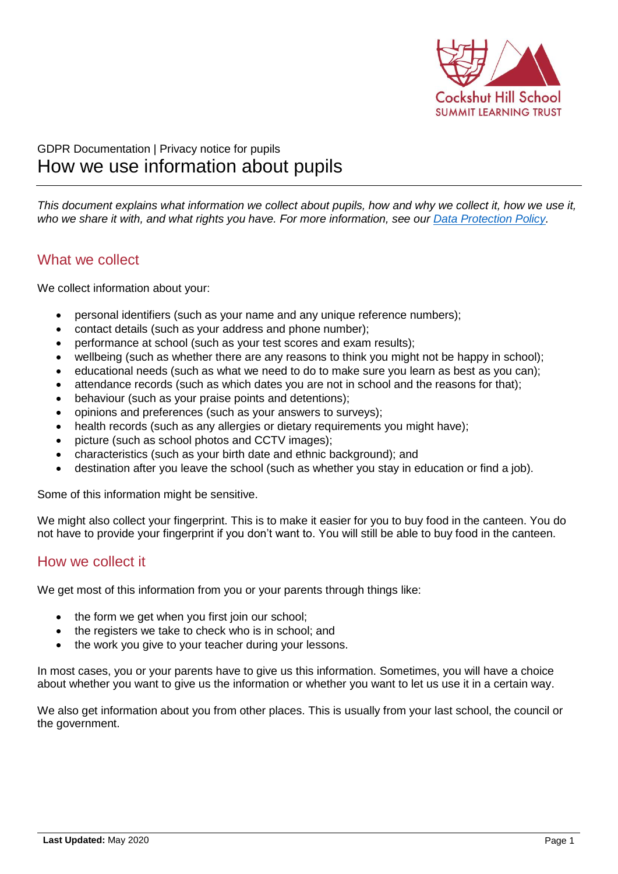

# GDPR Documentation | Privacy notice for pupils How we use information about pupils

*This document explains what information we collect about pupils, how and why we collect it, how we use it, who we share it with, and what rights you have. For more information, see our [Data Protection Policy.](https://www.summitlearningtrust.org.uk/about-us/gdpr/)*

## What we collect

We collect information about your:

- personal identifiers (such as your name and any unique reference numbers);
- contact details (such as your address and phone number);
- performance at school (such as your test scores and exam results);
- wellbeing (such as whether there are any reasons to think you might not be happy in school);
- educational needs (such as what we need to do to make sure you learn as best as you can);
- attendance records (such as which dates you are not in school and the reasons for that);
- behaviour (such as your praise points and detentions);
- opinions and preferences (such as your answers to surveys);
- health records (such as any allergies or dietary requirements you might have);
- picture (such as school photos and CCTV images);
- characteristics (such as your birth date and ethnic background); and
- destination after you leave the school (such as whether you stay in education or find a job).

Some of this information might be sensitive.

We might also collect your fingerprint. This is to make it easier for you to buy food in the canteen. You do not have to provide your fingerprint if you don't want to. You will still be able to buy food in the canteen.

### How we collect it

We get most of this information from you or your parents through things like:

- the form we get when you first join our school;
- the registers we take to check who is in school; and
- the work you give to your teacher during your lessons.

In most cases, you or your parents have to give us this information. Sometimes, you will have a choice about whether you want to give us the information or whether you want to let us use it in a certain way.

We also get information about you from other places. This is usually from your last school, the council or the government.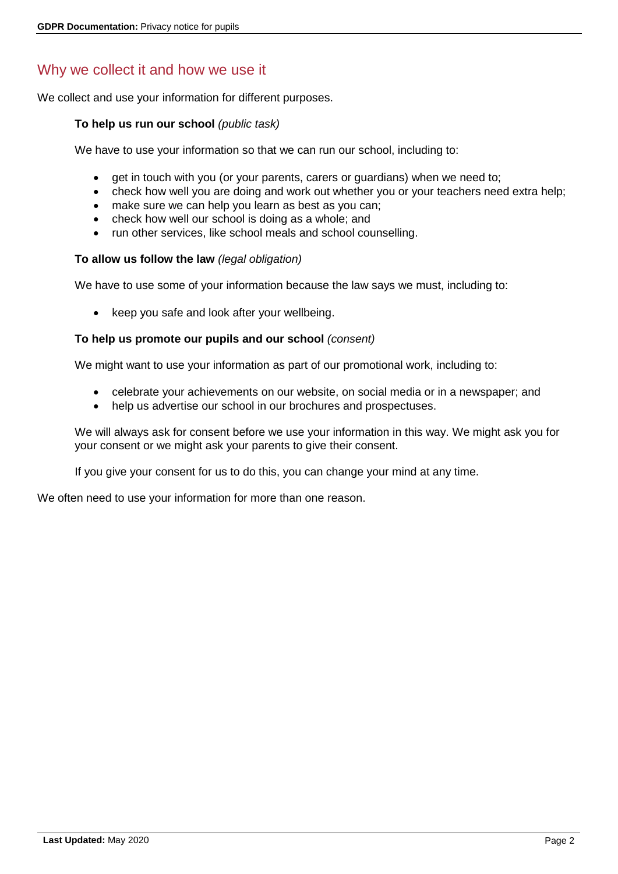# Why we collect it and how we use it

We collect and use your information for different purposes.

#### **To help us run our school** *(public task)*

We have to use your information so that we can run our school, including to:

- get in touch with you (or your parents, carers or guardians) when we need to;
- check how well you are doing and work out whether you or your teachers need extra help;
- make sure we can help you learn as best as you can;
- check how well our school is doing as a whole; and
- run other services, like school meals and school counselling.

#### **To allow us follow the law** *(legal obligation)*

We have to use some of your information because the law says we must, including to:

• keep you safe and look after your wellbeing.

#### **To help us promote our pupils and our school** *(consent)*

We might want to use your information as part of our promotional work, including to:

- celebrate your achievements on our website, on social media or in a newspaper; and
- help us advertise our school in our brochures and prospectuses.

We will always ask for consent before we use your information in this way. We might ask you for your consent or we might ask your parents to give their consent.

If you give your consent for us to do this, you can change your mind at any time.

We often need to use your information for more than one reason.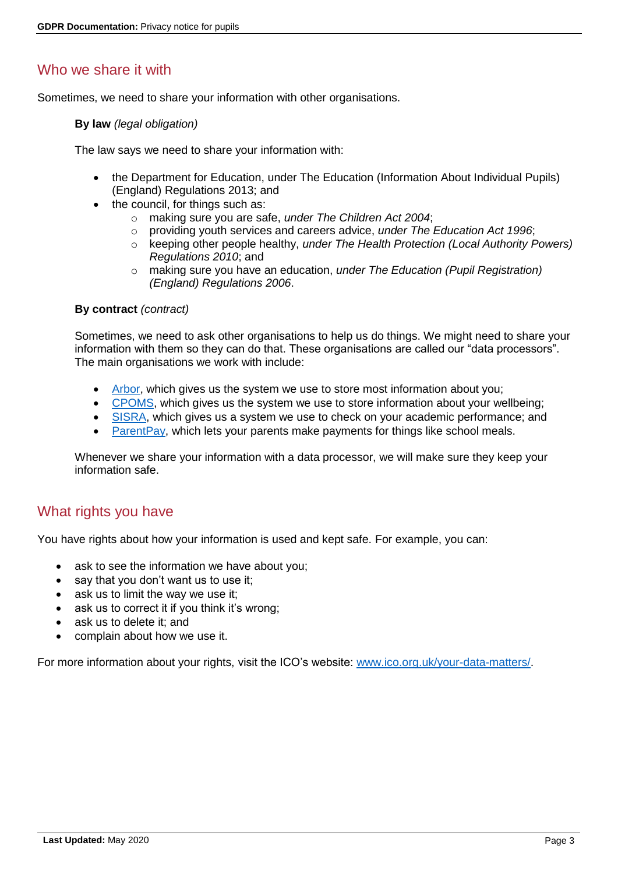## Who we share it with

Sometimes, we need to share your information with other organisations.

#### **By law** *(legal obligation)*

The law says we need to share your information with:

- the Department for Education, under The Education (Information About Individual Pupils) (England) Regulations 2013; and
- the council, for things such as:
	- o making sure you are safe, *under The Children Act 2004*;
	- o providing youth services and careers advice, *under The Education Act 1996*;
	- o keeping other people healthy, *under The Health Protection (Local Authority Powers) Regulations 2010*; and
	- o making sure you have an education, *under The Education (Pupil Registration) (England) Regulations 2006*.

#### **By contract** *(contract)*

Sometimes, we need to ask other organisations to help us do things. We might need to share your information with them so they can do that. These organisations are called our "data processors". The main organisations we work with include:

- [Arbor,](https://arbor-education.com/) which gives us the system we use to store most information about you;
- [CPOMS,](https://www.cpoms.co.uk/) which gives us the system we use to store information about your wellbeing;
- [SISRA,](https://www.sisra.com/) which gives us a system we use to check on your academic performance; and
- [ParentPay,](https://www.parentpay.com/) which lets your parents make payments for things like school meals.

Whenever we share your information with a data processor, we will make sure they keep your information safe.

### What rights you have

You have rights about how your information is used and kept safe. For example, you can:

- ask to see the information we have about you;
- say that you don't want us to use it;
- ask us to limit the way we use it;
- ask us to correct it if you think it's wrong:
- ask us to delete it; and
- complain about how we use it.

For more information about your rights, visit the ICO's website: [www.ico.org.uk/your-data-matters/.](https://ico.org.uk/your-data-matters/)